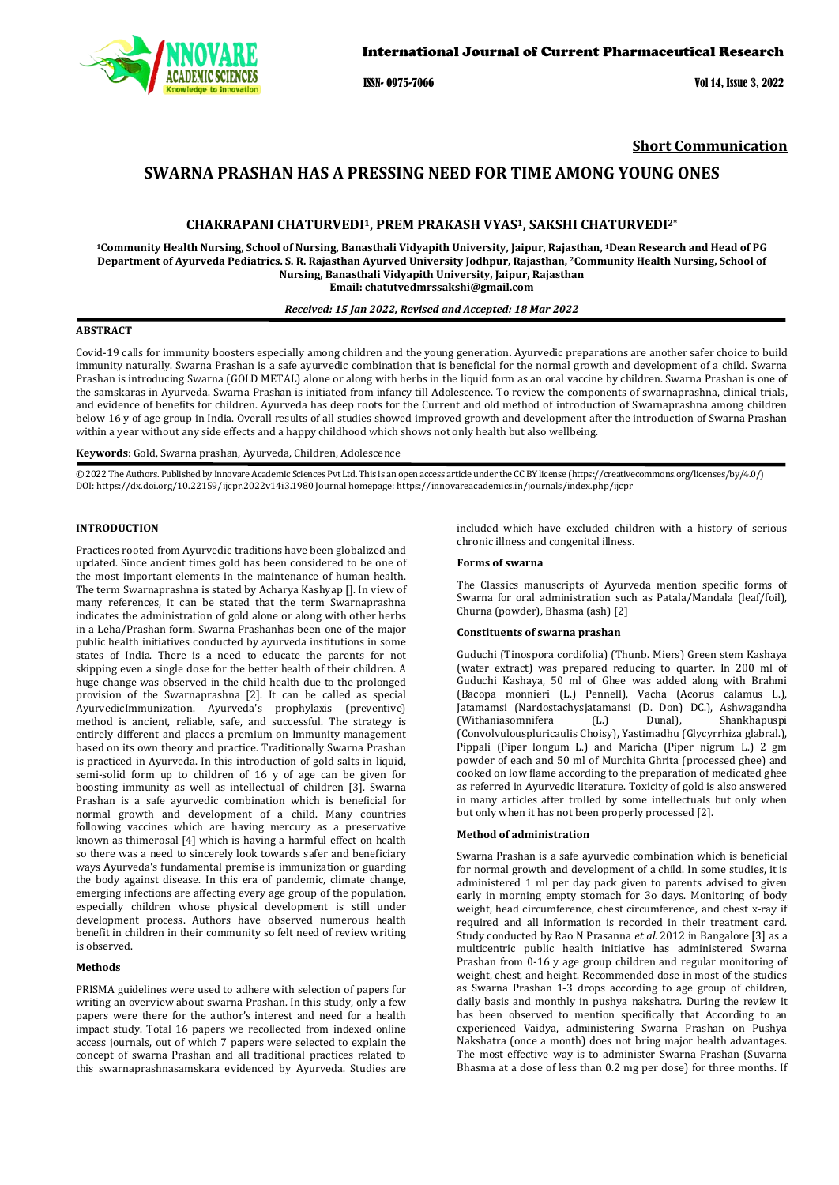

ISSN- 0975-7066 Vol 14, Issue 3, 2022

# **Short Communication**

# **SWARNA PRASHAN HAS A PRESSING NEED FOR TIME AMONG YOUNG ONES**

# **CHAKRAPANI CHATURVEDI1, PREM PRAKASH VYAS1, SAKSHI CHATURVEDI2\***

**1Community Health Nursing, School of Nursing, Banasthali Vidyapith University, Jaipur, Rajasthan, 1Dean Research and Head of PG Department of Ayurveda Pediatrics. S. R. Rajasthan Ayurved University Jodhpur, Rajasthan, 2Community Health Nursing, School of Nursing, Banasthali Vidyapith University, Jaipur, Rajasthan Email[: chatutvedmrssakshi@gmail.com](mailto:chatutvedmrssakshi@gmail.com)**

#### *Received: 15 Jan 2022, Revised and Accepted: 18 Mar 2022*

# **ABSTRACT**

Covid-19 calls for immunity boosters especially among children and the young generation**.** Ayurvedic preparations are another safer choice to build immunity naturally. Swarna Prashan is a safe ayurvedic combination that is beneficial for the normal growth and development of a child. Swarna Prashan is introducing Swarna (GOLD METAL) alone or along with herbs in the liquid form as an oral vaccine by children. Swarna Prashan is one of the samskaras in Ayurveda. Swarna Prashan is initiated from infancy till Adolescence. To review the components of swarnaprashna, clinical trials, and evidence of benefits for children. Ayurveda has deep roots for the Current and old method of introduction of Swarnaprashna among children below 16 y of age group in India. Overall results of all studies showed improved growth and development after the introduction of Swarna Prashan within a year without any side effects and a happy childhood which shows not only health but also wellbeing.

### **Keywords**: Gold, Swarna prashan, Ayurveda, Children, Adolescence

© 2022 The Authors. Published by Innovare Academic Sciences Pvt Ltd. This is an open access article under the CC BY license [\(https://creativecommons.org/licenses/by/4.0/\)](https://creativecommons.org/licenses/by/4.0/) DOI[: https://dx.doi.org/10.22159/ijcpr.2022v14i3.1](https://dx.doi.org/10.22159/ijcpr.2022v14i3)980 Journal homepage[: https://innovareacademics.in/journals/index.php/ijcpr](https://innovareacademics.in/journals/index.php/ijcpr)

#### **INTRODUCTION**

Practices rooted from Ayurvedic traditions have been globalized and updated. Since ancient times gold has been considered to be one of the most important elements in the maintenance of human health. The term Swarnaprashna is stated by Acharya Kashyap []. In view of many references, it can be stated that the term Swarnaprashna indicates the administration of gold alone or along with other herbs in a Leha/Prashan form. Swarna Prashanhas been one of the major public health initiatives conducted by ayurveda institutions in some states of India. There is a need to educate the parents for not skipping even a single dose for the better health of their children. A huge change was observed in the child health due to the prolonged provision of the Swarnaprashna [2]. It can be called as special AyurvedicImmunization. Ayurveda's prophylaxis (preventive) method is ancient, reliable, safe, and successful. The strategy is entirely different and places a premium on Immunity management based on its own theory and practice. Traditionally Swarna Prashan is practiced in Ayurveda. In this introduction of gold salts in liquid, semi-solid form up to children of 16 y of age can be given for boosting immunity as well as intellectual of children [3]. Swarna Prashan is a safe ayurvedic combination which is beneficial for normal growth and development of a child. Many countries following vaccines which are having mercury as a preservative known as thimerosal [4] which is having a harmful effect on health so there was a need to sincerely look towards safer and beneficiary ways Ayurveda's fundamental premise is immunization or guarding the body against disease. In this era of pandemic, climate change, emerging infections are affecting every age group of the population, especially children whose physical development is still under development process. Authors have observed numerous health benefit in children in their community so felt need of review writing is observed.

#### **Methods**

PRISMA guidelines were used to adhere with selection of papers for writing an overview about swarna Prashan. In this study, only a few papers were there for the author's interest and need for a health impact study. Total 16 papers we recollected from indexed online access journals, out of which 7 papers were selected to explain the concept of swarna Prashan and all traditional practices related to this swarnaprashnasamskara evidenced by Ayurveda. Studies are included which have excluded children with a history of serious chronic illness and congenital illness.

#### **Forms of swarna**

The Classics manuscripts of Ayurveda mention specific forms of Swarna for oral administration such as Patala/Mandala (leaf/foil), Churna (powder), Bhasma (ash) [2]

#### **Constituents of swarna prashan**

Guduchi (Tinospora cordifolia) (Thunb. Miers) Green stem Kashaya (water extract) was prepared reducing to quarter. In 200 ml of Guduchi Kashaya, 50 ml of Ghee was added along with Brahmi (Bacopa monnieri (L.) Pennell), Vacha (Acorus calamus L.), Jatamamsi (Nardostachysjatamansi (D. Don) DC.), Ashwagandha (Withaniasomnifera (L.) Dunal), Shankhapuspi (Convolvulouspluricaulis Choisy), Yastimadhu (Glycyrrhiza glabral.), Pippali (Piper longum L.) and Maricha (Piper nigrum L.) 2 gm powder of each and 50 ml of Murchita Ghrita (processed ghee) and cooked on low flame according to the preparation of medicated ghee as referred in Ayurvedic literature. Toxicity of gold is also answered in many articles after trolled by some intellectuals but only when but only when it has not been properly processed [2].

#### **Method of administration**

Swarna Prashan is a safe ayurvedic combination which is beneficial for normal growth and development of a child. In some studies, it is administered 1 ml per day pack given to parents advised to given early in morning empty stomach for 3o days. Monitoring of body weight, head circumference, chest circumference, and chest x-ray if required and all information is recorded in their treatment card. Study conducted by Rao N Prasanna *et al.* 2012 in Bangalore [3] as a multicentric public health initiative has administered Swarna Prashan from 0-16 y age group children and regular monitoring of weight, chest, and height. Recommended dose in most of the studies as Swarna Prashan 1-3 drops according to age group of children, daily basis and monthly in pushya nakshatra. During the review it has been observed to mention specifically that According to an experienced Vaidya, administering Swarna Prashan on Pushya Nakshatra (once a month) does not bring major health advantages. The most effective way is to administer Swarna Prashan (Suvarna Bhasma at a dose of less than 0.2 mg per dose) for three months. If